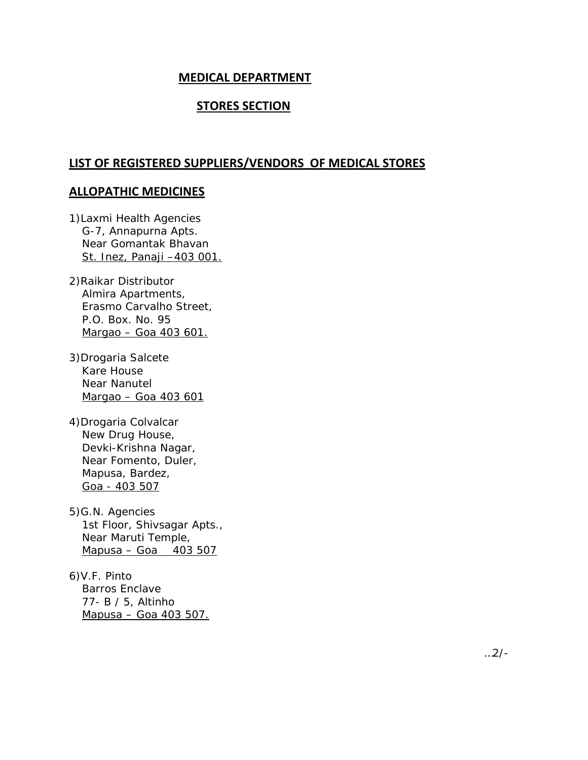# **MEDICAL DEPARTMENT**

# **STORES SECTION**

### **LIST OF REGISTERED SUPPLIERS/VENDORS OF MEDICAL STORES**

### **ALLOPATHIC MEDICINES**

1)Laxmi Health Agencies G-7, Annapurna Apts. Near Gomantak Bhavan St. Inez, Panaji –403 001.

- 2)Raikar Distributor Almira Apartments, Erasmo Carvalho Street, P.O. Box. No. 95 Margao – Goa 403 601.
- 3)Drogaria Salcete Kare House Near Nanutel Margao – Goa 403 601
- 4)Drogaria Colvalcar New Drug House, Devki-Krishna Nagar, Near Fomento, Duler, Mapusa, Bardez, Goa - 403 507
- 5)G.N. Agencies 1st Floor, Shivsagar Apts., Near Maruti Temple, Mapusa – Goa 403 507
- 6)V.F. Pinto Barros Enclave 77- B / 5, Altinho Mapusa – Goa 403 507.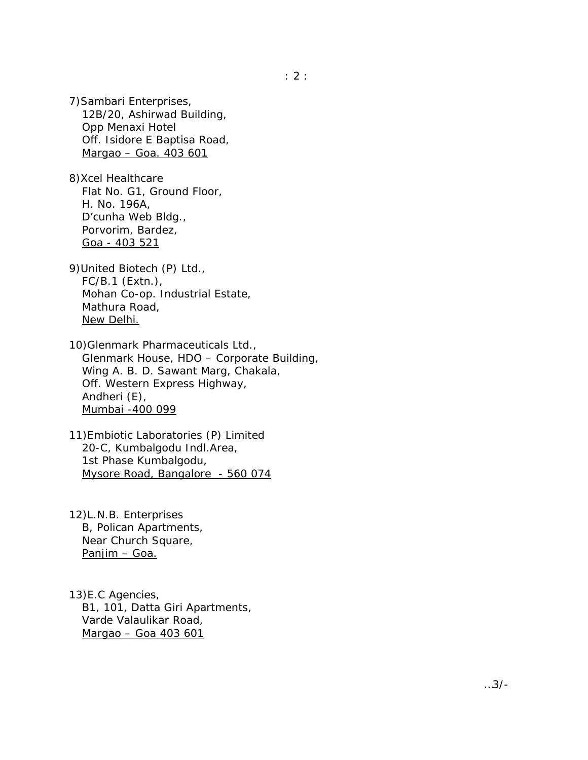7)Sambari Enterprises, 12B/20, Ashirwad Building, Opp Menaxi Hotel Off. Isidore E Baptisa Road, Margao – Goa. 403 601

8)Xcel Healthcare Flat No. G1, Ground Floor, H. No. 196A, D'cunha Web Bldg., Porvorim, Bardez, Goa - 403 521

9)United Biotech (P) Ltd., FC/B.1 (Extn.), Mohan Co-op. Industrial Estate, Mathura Road, New Delhi.

10)Glenmark Pharmaceuticals Ltd., Glenmark House, HDO – Corporate Building, Wing A. B. D. Sawant Marg, Chakala, Off. Western Express Highway, Andheri (E), Mumbai -400 099

11)Embiotic Laboratories (P) Limited 20-C, Kumbalgodu Indl.Area, 1st Phase Kumbalgodu, Mysore Road, Bangalore - 560 074

12)L.N.B. Enterprises B, Polican Apartments, Near Church Square, Panjim – Goa.

13)E.C Agencies, B1, 101, Datta Giri Apartments, Varde Valaulikar Road, Margao – Goa 403 601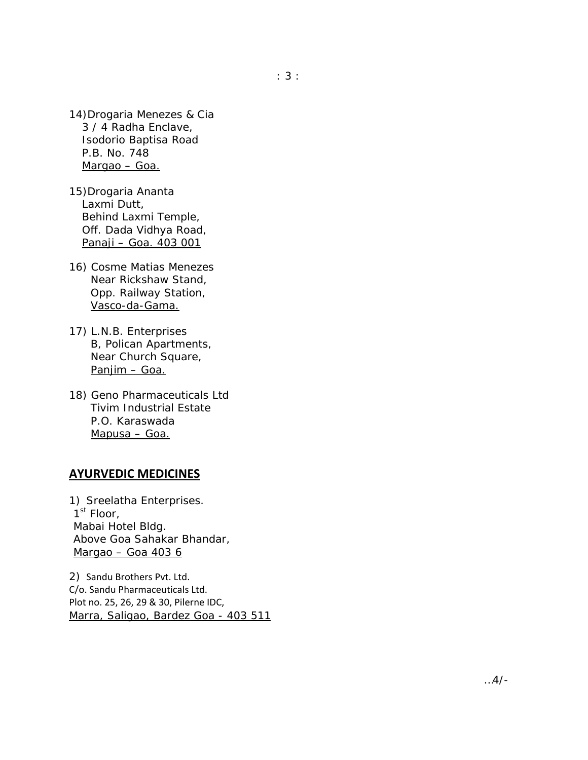- 14)Drogaria Menezes & Cia 3 / 4 Radha Enclave, Isodorio Baptisa Road P.B. No. 748 Margao – Goa.
- 15)Drogaria Ananta Laxmi Dutt, Behind Laxmi Temple, Off. Dada Vidhya Road, Panaji – Goa. 403 001
- 16) Cosme Matias Menezes Near Rickshaw Stand, Opp. Railway Station, Vasco-da-Gama.
- 17) L.N.B. Enterprises B, Polican Apartments, Near Church Square, Panjim – Goa.
- 18) Geno Pharmaceuticals Ltd Tivim Industrial Estate P.O. Karaswada Mapusa – Goa.

# **AYURVEDIC MEDICINES**

1) Sreelatha Enterprises. 1<sup>st</sup> Floor, Mabai Hotel Bldg. Above Goa Sahakar Bhandar, Margao – Goa 403 6

2) Sandu Brothers Pvt. Ltd. C/o. Sandu Pharmaceuticals Ltd. Plot no. 25, 26, 29 & 30, Pilerne IDC, Marra, Saligao, Bardez Goa - 403 511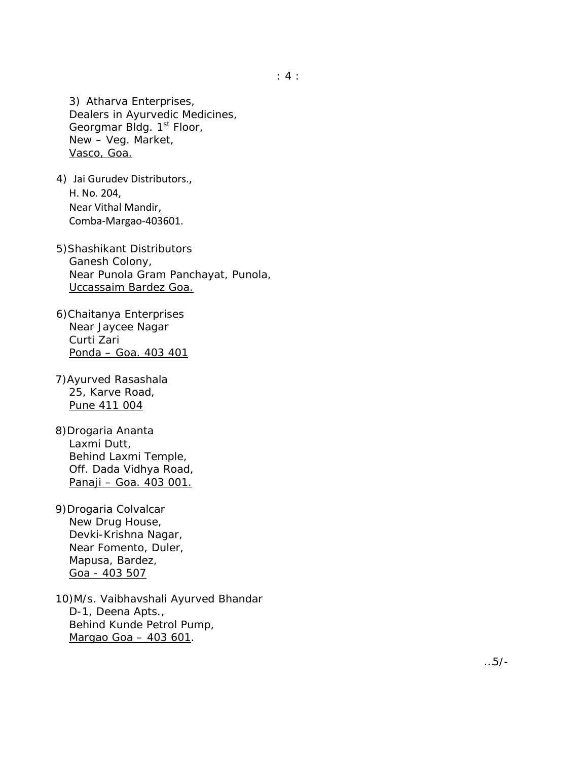3) Atharva Enterprises, Dealers in Ayurvedic Medicines, Georgmar Bldg. 1<sup>st</sup> Floor, New – Veg. Market, Vasco, Goa.

- 4) Jai Gurudev Distributors., H. No. 204, Near Vithal Mandir, Comba‐Margao‐403601.
- 5)Shashikant Distributors Ganesh Colony, Near Punola Gram Panchayat, Punola, Uccassaim Bardez Goa.
- 6)Chaitanya Enterprises Near Jaycee Nagar Curti Zari Ponda – Goa. 403 401
- 7)Ayurved Rasashala 25, Karve Road, Pune 411 004
- 8)Drogaria Ananta Laxmi Dutt, Behind Laxmi Temple, Off. Dada Vidhya Road, Panaji – Goa. 403 001.
- 9)Drogaria Colvalcar New Drug House, Devki-Krishna Nagar, Near Fomento, Duler, Mapusa, Bardez, Goa - 403 507
- 10)M/s. Vaibhavshali Ayurved Bhandar D-1, Deena Apts., Behind Kunde Petrol Pump, Margao Goa – 403 601.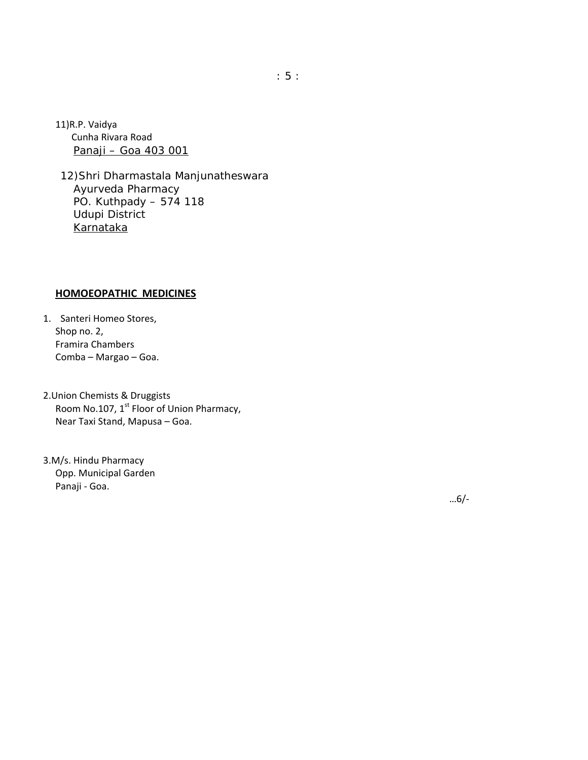11)R.P. Vaidya Cunha Rivara Road Panaji – Goa 403 001

12)Shri Dharmastala Manjunatheswara Ayurveda Pharmacy PO. Kuthpady – 574 118 Udupi District Karnataka

#### **HOMOEOPATHIC MEDICINES**

1. Santeri Homeo Stores, Shop no. 2, Framira Chambers Comba – Margao – Goa.

2.Union Chemists & Druggists Room No.107, 1<sup>st</sup> Floor of Union Pharmacy, Near Taxi Stand, Mapusa – Goa.

3.M/s. Hindu Pharmacy Opp. Municipal Garden Panaji ‐ Goa.

…6/‐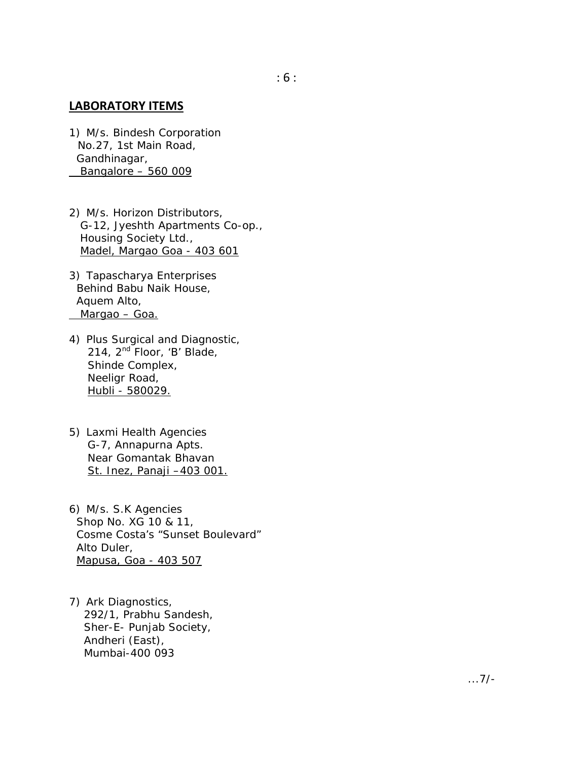### **LABORATORY ITEMS**

- 1) M/s. Bindesh Corporation No.27, 1st Main Road, Gandhinagar, Bangalore – 560 009
- 2) M/s. Horizon Distributors, G-12, Jyeshth Apartments Co-op., Housing Society Ltd., Madel, Margao Goa - 403 601
- 3) Tapascharya Enterprises Behind Babu Naik House, Aquem Alto, Margao – Goa.
- 4) Plus Surgical and Diagnostic, 214, 2<sup>nd</sup> Floor, 'B' Blade, Shinde Complex, Neeligr Road, Hubli - 580029.
- 5) Laxmi Health Agencies G-7, Annapurna Apts. Near Gomantak Bhavan St. Inez, Panaji –403 001.
- 6) M/s. S.K Agencies Shop No. XG 10 & 11, Cosme Costa's "Sunset Boulevard" Alto Duler, Mapusa, Goa - 403 507
- 7) Ark Diagnostics, 292/1, Prabhu Sandesh, Sher-E- Punjab Society, Andheri (East), Mumbai-400 093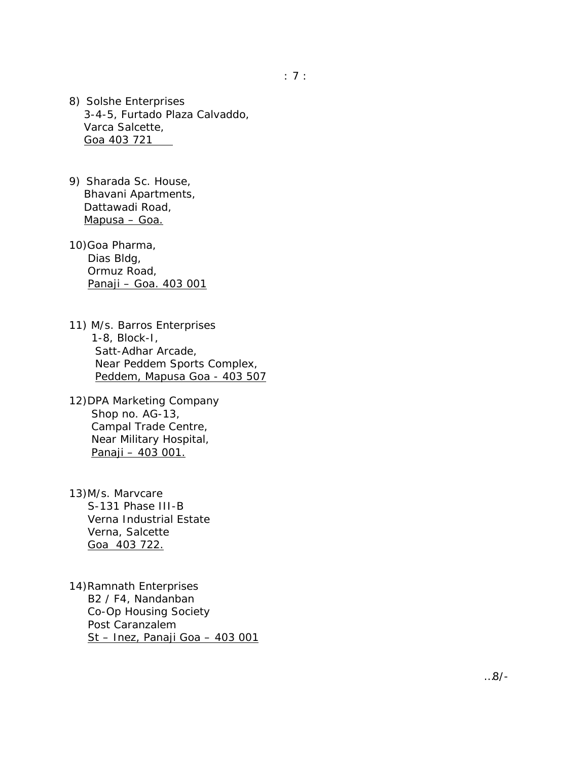- 8) Solshe Enterprises 3-4-5, Furtado Plaza Calvaddo, Varca Salcette, Goa 403 721
- 9) Sharada Sc. House, Bhavani Apartments, Dattawadi Road, Mapusa – Goa.
- 10)Goa Pharma, Dias Bldg, Ormuz Road, Panaji – Goa. 403 001
- 11) M/s. Barros Enterprises 1-8, Block-I, Satt-Adhar Arcade, Near Peddem Sports Complex, Peddem, Mapusa Goa - 403 507
- 12)DPA Marketing Company Shop no. AG-13, Campal Trade Centre, Near Military Hospital, Panaji – 403 001.
- 13)M/s. Marvcare S-131 Phase III-B Verna Industrial Estate Verna, Salcette Goa 403 722.
- 14)Ramnath Enterprises B2 / F4, Nandanban Co-Op Housing Society Post Caranzalem St – Inez, Panaji Goa – 403 001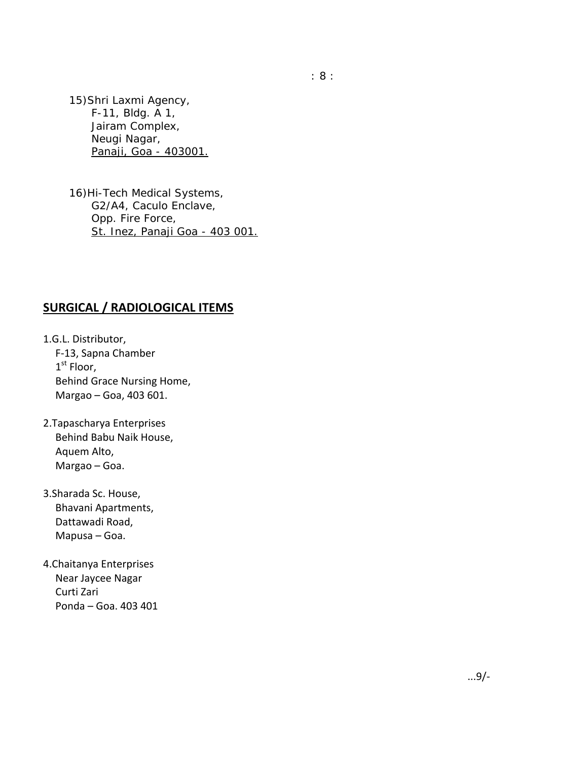15)Shri Laxmi Agency, F-11, Bldg. A 1, Jairam Complex, Neugi Nagar, Panaji, Goa - 403001.

16)Hi-Tech Medical Systems, G2/A4, Caculo Enclave, Opp. Fire Force, St. Inez, Panaji Goa - 403 001.

# **SURGICAL / RADIOLOGICAL ITEMS**

1.G.L. Distributor, F‐13, Sapna Chamber  $1<sup>st</sup>$  Floor, Behind Grace Nursing Home, Margao – Goa, 403 601.

- 2.Tapascharya Enterprises Behind Babu Naik House, Aquem Alto, Margao – Goa.
- 3.Sharada Sc. House, Bhavani Apartments, Dattawadi Road, Mapusa – Goa.
- 4.Chaitanya Enterprises Near Jaycee Nagar Curti Zari Ponda – Goa. 403 401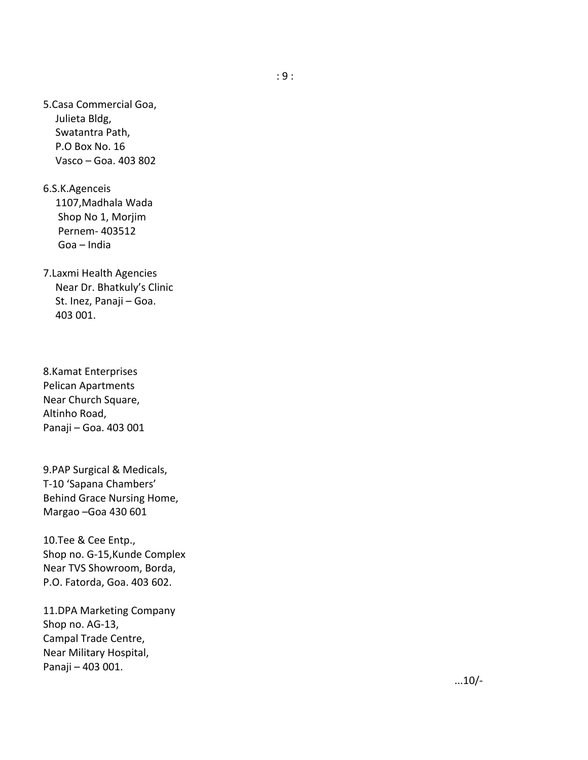5.Casa Commercial Goa, Julieta Bldg, Swatantra Path, P.O Box No. 16 Vasco – Goa. 403 802

6.S.K.Agenceis 1107,Madhala Wada Shop No 1, Morjim Pernem‐ 403512 Goa – India

7.Laxmi Health Agencies Near Dr. Bhatkuly's Clinic St. Inez, Panaji – Goa. 403 001.

8.Kamat Enterprises Pelican Apartments Near Church Square, Altinho Road, Panaji – Goa. 403 001

9.PAP Surgical & Medicals, T ‐10 'Sapana Chambers' Behind Grace Nursing Home, Margao –Goa 430 601

10.Tee & Cee Entp., Shop no. G ‐15,Kunde Complex Near TVS Showroom, Borda, P.O. Fatorda, Goa. 403 602.

11.DPA Marketing Company Shop no. AG ‐13, Campal Trade Centre, Near Military Hospital, Panaji – 403 001.

...10/‐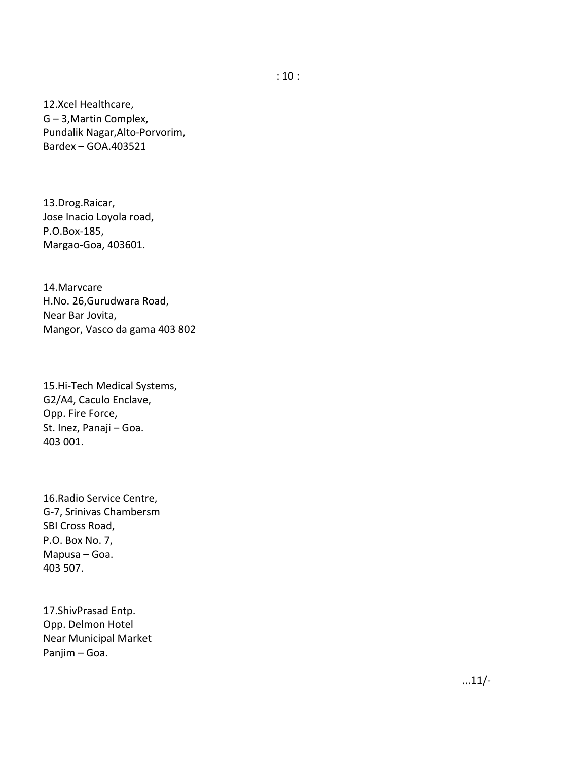12.Xcel Healthcare, G – 3,Martin Complex, Pundalik Nagar,Alto ‐Porvorim, Bardex – GOA.403521

13.Drog.Raicar, Jose Inacio Loyola road, P.O.Box ‐185, Margao ‐Goa, 403601.

14.Marvcare H.No. 26,Gurudwara Road, Near Bar Jovita, Mangor, Vasco da gama 403 802

15.Hi ‐Tech Medical Systems, G2/A4, Caculo Enclave, Opp. Fire Force, St. Inez, Panaji – Goa. 403 001.

16.Radio Service Centre, G‐7, Srinivas Chambersm SBI Cross Road, P.O. Box No. 7, Mapusa – Goa. 403 507.

17.ShivPrasad Entp. Opp. Delmon Hotel Near Municipal Market Panjim – Goa.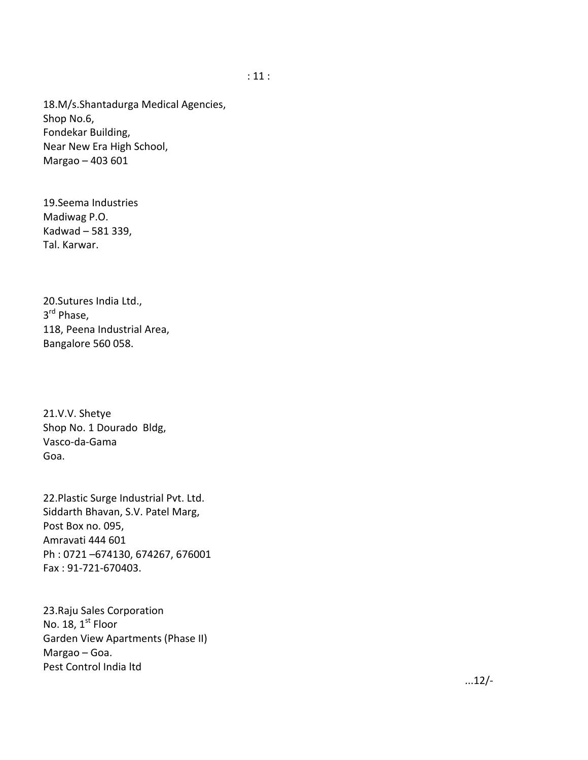18.M/s.Shantadurga Medical Agencies, Shop No.6, Fondekar Building, Near New Era High School, Margao – 403 601

19.Seema Industries Madiwag P.O. Kadwad – 581 339, Tal. Karwar.

20.Sutures India Ltd., 3<sup>rd</sup> Phase, 118, Peena Industrial Area, Bangalore 560 058.

21.V.V. Shetye Shop No. 1 Dourado Bldg, Vasco‐da‐Gama Goa.

22.Plastic Surge Industrial Pvt. Ltd. Siddarth Bhavan, S.V. Patel Marg, Post Box no. 095, Amravati 444 601 Ph : 0721 –674130, 674267, 676001 Fax : 91‐721‐670403.

23.Raju Sales Corporation No. 18, 1<sup>st</sup> Floor Garden View Apartments (Phase II) Margao – Goa. Pest Control India ltd

...12/‐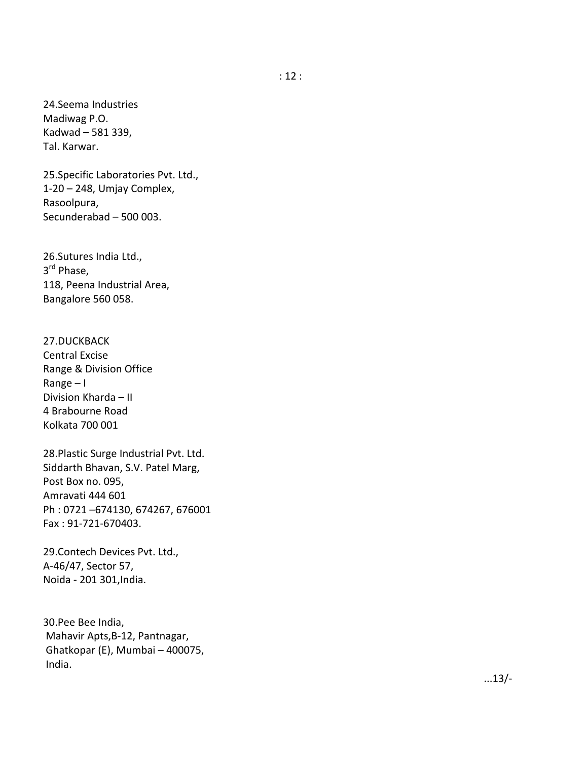24.Seema Industries Madiwag P.O. Kadwad – 581 339, Tal. Karwar.

25.Specific Laboratories Pvt. Ltd., 1‐20 – 248, Umjay Complex, Rasoolpura, Secunderabad – 500 003.

26.Sutures India Ltd., 3<sup>rd</sup> Phase. 118, Peena Industrial Area, Bangalore 560 058.

27.DUCKBACK Central Excise Range & Division Office Range – I Division Kharda – II 4 Brabourne Road Kolkata 700 001

28.Plastic Surge Industrial Pvt. Ltd. Siddarth Bhavan, S.V. Patel Marg, Post Box no. 095, Amravati 444 601 Ph : 0721 –674130, 674267, 676001 Fax : 91 ‐721 ‐670403.

29.Contech Devices Pvt. Ltd., A‐46/47, Sector 57, Noida ‐ 201 301,India.

30.Pee Bee India, Mahavir Apts,B ‐12, Pantnagar, Ghatkopar (E), Mumbai – 400075, India.